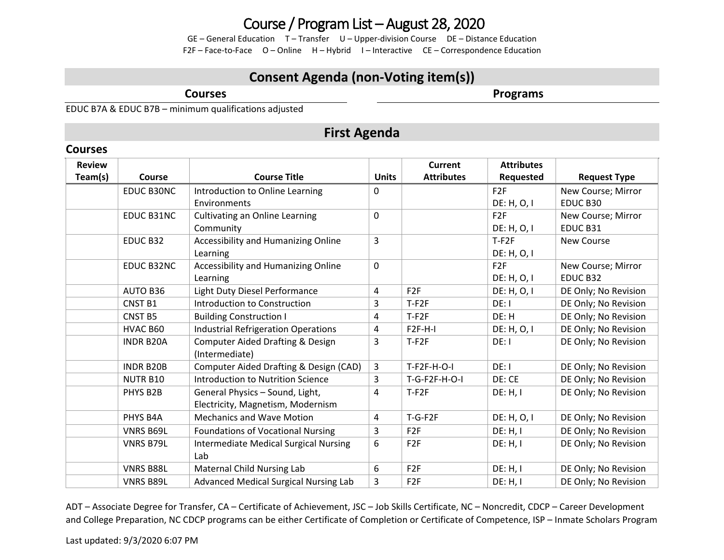GE – General Education T – Transfer U – Upper-division Course DE – Distance Education F2F – Face-to-Face O – Online H – Hybrid I – Interactive CE – Correspondence Education

### **Consent Agenda (non-Voting item(s))**

**Courses**

**Programs**

EDUC B7A & EDUC B7B – minimum qualifications adjusted

### **First Agenda**

| <b>Courses</b>           |                  |                                              |              |                              |                                |                      |
|--------------------------|------------------|----------------------------------------------|--------------|------------------------------|--------------------------------|----------------------|
| <b>Review</b><br>Team(s) | <b>Course</b>    | <b>Course Title</b>                          | <b>Units</b> | Current<br><b>Attributes</b> | <b>Attributes</b><br>Requested | <b>Request Type</b>  |
|                          | EDUC B30NC       | Introduction to Online Learning              | 0            |                              | F2F                            | New Course; Mirror   |
|                          |                  | Environments                                 |              |                              | DE: H, O, I                    | EDUC B30             |
|                          | EDUC B31NC       | <b>Cultivating an Online Learning</b>        | 0            |                              | F <sub>2F</sub>                | New Course; Mirror   |
|                          |                  | Community                                    |              |                              | DE: H, O, I                    | EDUC B31             |
|                          | EDUC B32         | Accessibility and Humanizing Online          | 3            |                              | $T-F2F$                        | <b>New Course</b>    |
|                          |                  | Learning                                     |              |                              | DE: H, O, I                    |                      |
|                          | EDUC B32NC       | Accessibility and Humanizing Online          | 0            |                              | F2F                            | New Course; Mirror   |
|                          |                  | Learning                                     |              |                              | DE: H, O, I                    | EDUC B32             |
|                          | <b>AUTO B36</b>  | Light Duty Diesel Performance                | 4            | F <sub>2F</sub>              | DE: H, O, I                    | DE Only; No Revision |
|                          | <b>CNST B1</b>   | Introduction to Construction                 | 3            | $T-F2F$                      | DE: I                          | DE Only; No Revision |
|                          | <b>CNST B5</b>   | <b>Building Construction I</b>               | 4            | $T-F2F$                      | DE: H                          | DE Only; No Revision |
|                          | HVAC B60         | <b>Industrial Refrigeration Operations</b>   | 4            | $F2F-H-I$                    | DE: H, O, I                    | DE Only; No Revision |
|                          | <b>INDR B20A</b> | <b>Computer Aided Drafting &amp; Design</b>  | 3            | $T-F2F$                      | DE: I                          | DE Only; No Revision |
|                          |                  | (Intermediate)                               |              |                              |                                |                      |
|                          | <b>INDR B20B</b> | Computer Aided Drafting & Design (CAD)       | 3            | T-F2F-H-O-I                  | DE: I                          | DE Only; No Revision |
|                          | <b>NUTR B10</b>  | Introduction to Nutrition Science            | 3            | $T-G-F2F-H-O-I$              | DE: CE                         | DE Only; No Revision |
|                          | PHYS B2B         | General Physics - Sound, Light,              | 4            | $T-F2F$                      | DE: H, I                       | DE Only; No Revision |
|                          |                  | Electricity, Magnetism, Modernism            |              |                              |                                |                      |
|                          | PHYS B4A         | <b>Mechanics and Wave Motion</b>             | 4            | $T-G-F2F$                    | DE: H, O, I                    | DE Only; No Revision |
|                          | <b>VNRS B69L</b> | Foundations of Vocational Nursing            | 3            | F <sub>2F</sub>              | DE: H, I                       | DE Only; No Revision |
|                          | <b>VNRS B79L</b> | <b>Intermediate Medical Surgical Nursing</b> | 6            | F <sub>2F</sub>              | DE: H, I                       | DE Only; No Revision |
|                          |                  | Lab                                          |              |                              |                                |                      |
|                          | <b>VNRS B88L</b> | Maternal Child Nursing Lab                   | 6            | F <sub>2F</sub>              | DE: H, I                       | DE Only; No Revision |
|                          | <b>VNRS B89L</b> | Advanced Medical Surgical Nursing Lab        | 3            | F <sub>2F</sub>              | DE: H, I                       | DE Only; No Revision |

ADT – Associate Degree for Transfer, CA – Certificate of Achievement, JSC – Job Skills Certificate, NC – Noncredit, CDCP – Career Development and College Preparation, NC CDCP programs can be either Certificate of Completion or Certificate of Competence, ISP – Inmate Scholars Program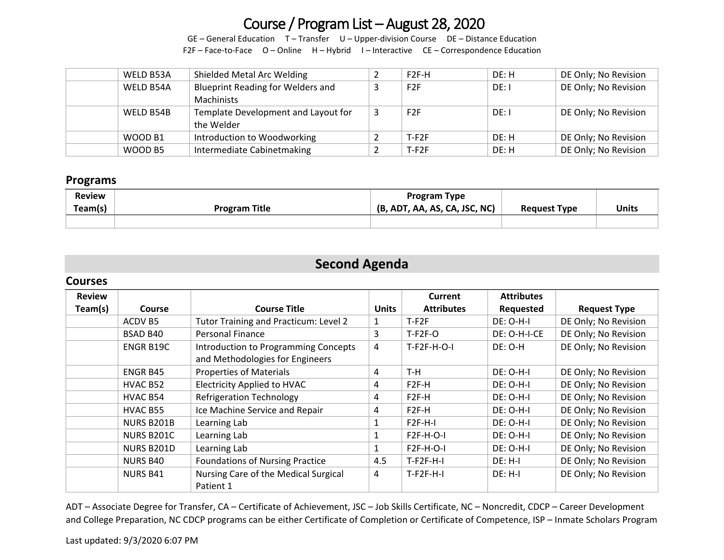GE – General Education T – Transfer U – Upper-division Course DE – Distance Education F2F – Face-to-Face O – Online H – Hybrid I – Interactive CE – Correspondence Education

| WELD B53A | Shielded Metal Arc Welding               | $F2F-H$          | DE: H | DE Only; No Revision |
|-----------|------------------------------------------|------------------|-------|----------------------|
| WELD B54A | <b>Blueprint Reading for Welders and</b> | F2F              | DE: I | DE Only; No Revision |
|           | Machinists                               |                  |       |                      |
| WELD B54B | Template Development and Layout for      | F <sub>2</sub> F | DE: I | DE Only; No Revision |
|           | the Welder                               |                  |       |                      |
| WOOD B1   | Introduction to Woodworking              | $T-F2F$          | DE: H | DE Only; No Revision |
| WOOD B5   | Intermediate Cabinetmaking               | $T-F2F$          | DE: H | DE Only; No Revision |

#### **Programs**

| <b>Review</b><br>Team(s) | <b>Program Title</b> | <b>Program Type</b><br>(B, ADT, AA, AS, CA, JSC, NC) | <b>Request Type</b> | Units |
|--------------------------|----------------------|------------------------------------------------------|---------------------|-------|
|                          |                      |                                                      |                     |       |

## **Second Agenda**

#### **Courses**

| <b>Review</b> |                   |                                                                                |              | Current            | <b>Attributes</b> |                      |
|---------------|-------------------|--------------------------------------------------------------------------------|--------------|--------------------|-------------------|----------------------|
| Team(s)       | <b>Course</b>     | <b>Course Title</b>                                                            | <b>Units</b> | <b>Attributes</b>  | Requested         | <b>Request Type</b>  |
|               | ACDV B5           | Tutor Training and Practicum: Level 2                                          | 1            | $T-F2F$            | <b>DE: O-H-I</b>  | DE Only; No Revision |
|               | BSAD B40          | <b>Personal Finance</b>                                                        | 3            | $T-F2F-O$          | DE: O-H-I-CE      | DE Only; No Revision |
|               | ENGR B19C         | <b>Introduction to Programming Concepts</b><br>and Methodologies for Engineers | 4            | $T-F2F-H-O-I$      | DE: O-H           | DE Only; No Revision |
|               | ENGR B45          | <b>Properties of Materials</b>                                                 | 4            | T-H                | $DE: O-H-I$       | DE Only; No Revision |
|               | HVAC B52          | <b>Electricity Applied to HVAC</b>                                             | 4            | F <sub>2F</sub> -H | $DE: O-H-I$       | DE Only; No Revision |
|               | HVAC B54          | <b>Refrigeration Technology</b>                                                | 4            | F <sub>2F</sub> -H | DE: O-H-I         | DE Only; No Revision |
|               | HVAC B55          | Ice Machine Service and Repair                                                 | 4            | F <sub>2F</sub> -H | DE: O-H-I         | DE Only; No Revision |
|               | <b>NURS B201B</b> | Learning Lab                                                                   |              | $F2F-H-I$          | $DE: O-H-I$       | DE Only; No Revision |
|               | NURS B201C        | Learning Lab                                                                   |              | <b>F2F-H-O-I</b>   | DE: O-H-I         | DE Only; No Revision |
|               | NURS B201D        | Learning Lab                                                                   | 1            | <b>F2F-H-O-I</b>   | DE: O-H-I         | DE Only; No Revision |
|               | <b>NURS B40</b>   | <b>Foundations of Nursing Practice</b>                                         | 4.5          | $T-F2F-H-I$        | $DE: H-I$         | DE Only; No Revision |
|               | <b>NURS B41</b>   | Nursing Care of the Medical Surgical<br>Patient 1                              | 4            | $T-F2F-H-I$        | DE: H-I           | DE Only; No Revision |

ADT – Associate Degree for Transfer, CA – Certificate of Achievement, JSC – Job Skills Certificate, NC – Noncredit, CDCP – Career Development and College Preparation, NC CDCP programs can be either Certificate of Completion or Certificate of Competence, ISP – Inmate Scholars Program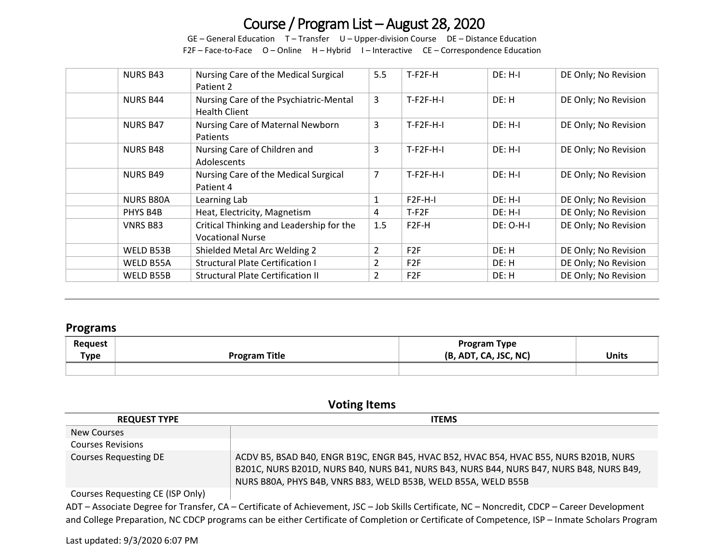GE – General Education T – Transfer U – Upper-division Course DE – Distance Education F2F – Face-to-Face  $O -$  Online H – Hybrid I – Interactive CE – Correspondence Education

| <b>NURS B43</b>  | Nursing Care of the Medical Surgical<br>Patient 2                   | 5.5            | $T-F2F-H$         | $DE: H-I$        | DE Only; No Revision |
|------------------|---------------------------------------------------------------------|----------------|-------------------|------------------|----------------------|
| <b>NURS B44</b>  | Nursing Care of the Psychiatric-Mental<br><b>Health Client</b>      | 3              | $T-F2F-H-I$       | DE: H            | DE Only; No Revision |
| <b>NURS B47</b>  | Nursing Care of Maternal Newborn<br><b>Patients</b>                 | 3              | $T-F2F-H-I$       | $DE: H-I$        | DE Only; No Revision |
| <b>NURS B48</b>  | Nursing Care of Children and<br>Adolescents                         | 3              | $T-F2F-H-I$       | $DE: H-I$        | DE Only; No Revision |
| <b>NURS B49</b>  | Nursing Care of the Medical Surgical<br>Patient 4                   | 7              | $T-F2F-H-I$       | DE: H-I          | DE Only; No Revision |
| <b>NURS B80A</b> | Learning Lab                                                        | 1              | $F2F-H-I$         | $DE: H-I$        | DE Only; No Revision |
| PHYS B4B         | Heat, Electricity, Magnetism                                        | 4              | $T-F2F$           | DE: H-I          | DE Only; No Revision |
| <b>VNRS B83</b>  | Critical Thinking and Leadership for the<br><b>Vocational Nurse</b> | 1.5            | F <sub>2F-H</sub> | <b>DE: O-H-I</b> | DE Only; No Revision |
| WELD B53B        | Shielded Metal Arc Welding 2                                        | 2              | F <sub>2F</sub>   | DE: H            | DE Only; No Revision |
| WELD B55A        | <b>Structural Plate Certification I</b>                             | $\overline{2}$ | F <sub>2F</sub>   | DE: H            | DE Only; No Revision |
| WELD B55B        | <b>Structural Plate Certification II</b>                            | $\overline{2}$ | F2F               | DE: H            | DE Only; No Revision |

#### **Programs**

| Request<br>Type | <b>Program Title</b> | <b>Program Type</b><br>(B, ADT, CA, JSC, NC) | Units |
|-----------------|----------------------|----------------------------------------------|-------|
|                 |                      |                                              |       |

#### **Voting Items**

| <b>REQUEST TYPE</b>      | <b>ITEMS</b>                                                                                                                                                                                                                                         |
|--------------------------|------------------------------------------------------------------------------------------------------------------------------------------------------------------------------------------------------------------------------------------------------|
| New Courses              |                                                                                                                                                                                                                                                      |
| <b>Courses Revisions</b> |                                                                                                                                                                                                                                                      |
| Courses Requesting DE    | ACDV B5, BSAD B40, ENGR B19C, ENGR B45, HVAC B52, HVAC B54, HVAC B55, NURS B201B, NURS<br>B201C, NURS B201D, NURS B40, NURS B41, NURS B43, NURS B44, NURS B47, NURS B48, NURS B49,<br>NURS B80A, PHYS B4B, VNRS B83, WELD B53B, WELD B55A, WELD B55B |

Courses Requesting CE (ISP Only)

ADT – Associate Degree for Transfer, CA – Certificate of Achievement, JSC – Job Skills Certificate, NC – Noncredit, CDCP – Career Development and College Preparation, NC CDCP programs can be either Certificate of Completion or Certificate of Competence, ISP – Inmate Scholars Program

#### Last updated: 9/3/2020 6:07 PM